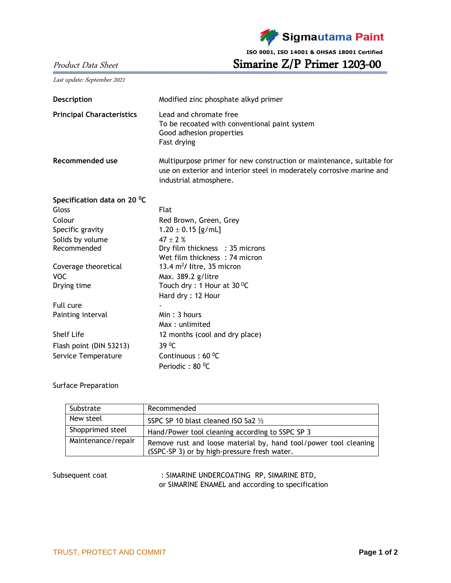

Product Data Sheet Simarine Z/P Primer 1203-00

Last update: September 2021

| Modified zinc phosphate alkyd primer                                                                                                                                     |  |  |  |
|--------------------------------------------------------------------------------------------------------------------------------------------------------------------------|--|--|--|
| Lead and chromate free<br>To be recoated with conventional paint system<br>Good adhesion properties<br>Fast drying                                                       |  |  |  |
| Multipurpose primer for new construction or maintenance, suitable for<br>use on exterior and interior steel in moderately corrosive marine and<br>industrial atmosphere. |  |  |  |
|                                                                                                                                                                          |  |  |  |
| Flat                                                                                                                                                                     |  |  |  |
| Red Brown, Green, Grey                                                                                                                                                   |  |  |  |
| $1.20 \pm 0.15$ [g/mL]                                                                                                                                                   |  |  |  |
| $47 + 2%$                                                                                                                                                                |  |  |  |
| Dry film thickness : 35 microns                                                                                                                                          |  |  |  |
| Wet film thickness: 74 micron                                                                                                                                            |  |  |  |
| 13.4 $m^2$ / litre, 35 micron<br>Max. 389.2 g/litre                                                                                                                      |  |  |  |
| Touch dry : 1 Hour at $30^{\circ}$ C                                                                                                                                     |  |  |  |
| Hard dry: 12 Hour                                                                                                                                                        |  |  |  |
|                                                                                                                                                                          |  |  |  |
| Min: 3 hours                                                                                                                                                             |  |  |  |
| Max: unlimited                                                                                                                                                           |  |  |  |
| 12 months (cool and dry place)                                                                                                                                           |  |  |  |
| 39 <sup>0</sup> C                                                                                                                                                        |  |  |  |
| Continuous: $60^{\circ}$ C                                                                                                                                               |  |  |  |
| Periodic: 80 °C                                                                                                                                                          |  |  |  |
|                                                                                                                                                                          |  |  |  |

## Surface Preparation

| Substrate          | Recommended                                                                                                      |  |  |
|--------------------|------------------------------------------------------------------------------------------------------------------|--|--|
| New steel          | SSPC SP 10 blast cleaned ISO Sa2 1/2                                                                             |  |  |
| Shopprimed steel   | Hand/Power tool cleaning according to SSPC SP 3                                                                  |  |  |
| Maintenance/repair | Remove rust and loose material by, hand tool/power tool cleaning<br>(SSPC-SP 3) or by high-pressure fresh water. |  |  |

Subsequent coat : SIMARINE UNDERCOATING RP, SIMARINE BTD, or SIMARINE ENAMEL and according to specification